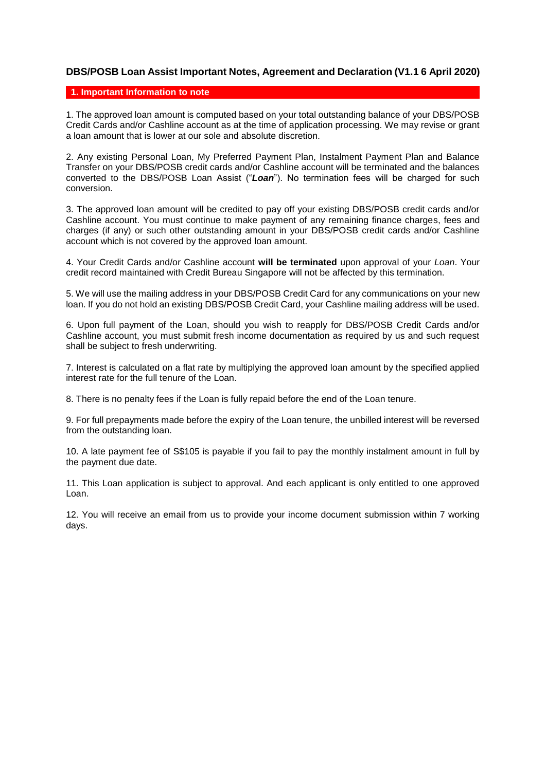## **DBS/POSB Loan Assist Important Notes, Agreement and Declaration (V1.1 6 April 2020)**

## **1. Important Information to note**

1. The approved loan amount is computed based on your total outstanding balance of your DBS/POSB Credit Cards and/or Cashline account as at the time of application processing. We may revise or grant a loan amount that is lower at our sole and absolute discretion.

2. Any existing Personal Loan, My Preferred Payment Plan, Instalment Payment Plan and Balance Transfer on your DBS/POSB credit cards and/or Cashline account will be terminated and the balances converted to the DBS/POSB Loan Assist ("*Loan*"). No termination fees will be charged for such conversion.

3. The approved loan amount will be credited to pay off your existing DBS/POSB credit cards and/or Cashline account. You must continue to make payment of any remaining finance charges, fees and charges (if any) or such other outstanding amount in your DBS/POSB credit cards and/or Cashline account which is not covered by the approved loan amount.

4. Your Credit Cards and/or Cashline account **will be terminated** upon approval of your *Loan*. Your credit record maintained with Credit Bureau Singapore will not be affected by this termination.

5. We will use the mailing address in your DBS/POSB Credit Card for any communications on your new loan. If you do not hold an existing DBS/POSB Credit Card, your Cashline mailing address will be used.

6. Upon full payment of the Loan, should you wish to reapply for DBS/POSB Credit Cards and/or Cashline account, you must submit fresh income documentation as required by us and such request shall be subject to fresh underwriting.

7. Interest is calculated on a flat rate by multiplying the approved loan amount by the specified applied interest rate for the full tenure of the Loan.

8. There is no penalty fees if the Loan is fully repaid before the end of the Loan tenure.

9. For full prepayments made before the expiry of the Loan tenure, the unbilled interest will be reversed from the outstanding loan.

10. A late payment fee of S\$105 is payable if you fail to pay the monthly instalment amount in full by the payment due date.

11. This Loan application is subject to approval. And each applicant is only entitled to one approved Loan.

12. You will receive an email from us to provide your income document submission within 7 working days.